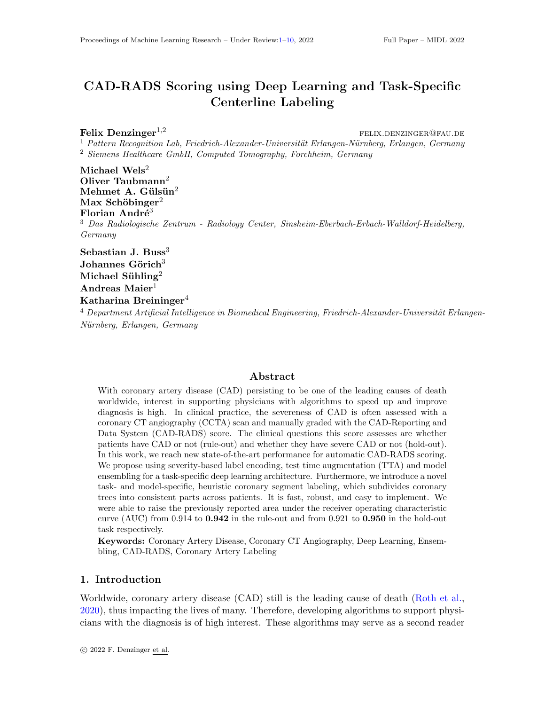# <span id="page-0-0"></span>CAD-RADS Scoring using Deep Learning and Task-Specific Centerline Labeling

 ${\bf Felix \; Denzinger}^{1,2}$  felix.denzinger<sup>1,2</sup>

 $1$  Pattern Recognition Lab, Friedrich-Alexander-Universität Erlangen-Nürnberg, Erlangen, Germany <sup>2</sup> Siemens Healthcare GmbH, Computed Tomography, Forchheim, Germany

Michael  $Wels<sup>2</sup>$ Oliver Taubmann<sup>2</sup> Mehmet A. Gülsün $^2$ Max Schöbinger<sup>2</sup> Florian André<sup>3</sup> <sup>3</sup> Das Radiologische Zentrum - Radiology Center, Sinsheim-Eberbach-Erbach-Walldorf-Heidelberg, Germany

Sebastian J. Buss $3$ Johannes Görich $3$ Michael Sühling<sup>2</sup> Andreas Maier $1$ Katharina Breininger<sup>4</sup>

 $4$  Department Artificial Intelligence in Biomedical Engineering, Friedrich-Alexander-Universität Erlangen-Nürnberg, Erlangen, Germany

# Abstract

With coronary artery disease (CAD) persisting to be one of the leading causes of death worldwide, interest in supporting physicians with algorithms to speed up and improve diagnosis is high. In clinical practice, the severeness of CAD is often assessed with a coronary CT angiography (CCTA) scan and manually graded with the CAD-Reporting and Data System (CAD-RADS) score. The clinical questions this score assesses are whether patients have CAD or not (rule-out) and whether they have severe CAD or not (hold-out). In this work, we reach new state-of-the-art performance for automatic CAD-RADS scoring. We propose using severity-based label encoding, test time augmentation (TTA) and model ensembling for a task-specific deep learning architecture. Furthermore, we introduce a novel task- and model-specific, heuristic coronary segment labeling, which subdivides coronary trees into consistent parts across patients. It is fast, robust, and easy to implement. We were able to raise the previously reported area under the receiver operating characteristic curve (AUC) from  $0.914$  to  $0.942$  in the rule-out and from  $0.921$  to  $0.950$  in the hold-out task respectively.

Keywords: Coronary Artery Disease, Coronary CT Angiography, Deep Learning, Ensembling, CAD-RADS, Coronary Artery Labeling

## 1. Introduction

Worldwide, coronary artery disease (CAD) still is the leading cause of death [\(Roth et al.,](#page-9-1) [2020\)](#page-9-1), thus impacting the lives of many. Therefore, developing algorithms to support physicians with the diagnosis is of high interest. These algorithms may serve as a second reader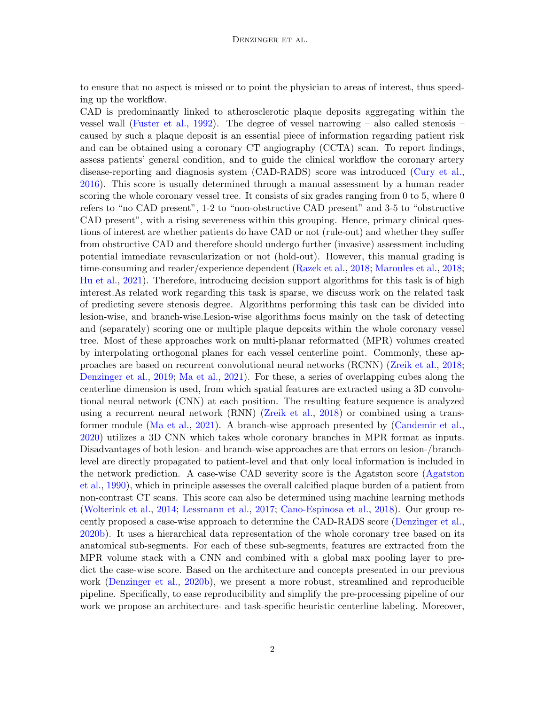to ensure that no aspect is missed or to point the physician to areas of interest, thus speeding up the workflow.

CAD is predominantly linked to atherosclerotic plaque deposits aggregating within the vessel wall [\(Fuster et al.,](#page-8-0) [1992\)](#page-8-0). The degree of vessel narrowing – also called stenosis – caused by such a plaque deposit is an essential piece of information regarding patient risk and can be obtained using a coronary CT angiography (CCTA) scan. To report findings, assess patients' general condition, and to guide the clinical workflow the coronary artery disease-reporting and diagnosis system (CAD-RADS) score was introduced [\(Cury et al.,](#page-8-1) [2016\)](#page-8-1). This score is usually determined through a manual assessment by a human reader scoring the whole coronary vessel tree. It consists of six grades ranging from 0 to 5, where 0 refers to "no CAD present", 1-2 to "non-obstructive CAD present" and 3-5 to "obstructive CAD present", with a rising severeness within this grouping. Hence, primary clinical questions of interest are whether patients do have CAD or not (rule-out) and whether they suffer from obstructive CAD and therefore should undergo further (invasive) assessment including potential immediate revascularization or not (hold-out). However, this manual grading is time-consuming and reader/experience dependent [\(Razek et al.,](#page-9-2) [2018;](#page-9-2) [Maroules et al.,](#page-9-3) [2018;](#page-9-3) [Hu et al.,](#page-8-2) [2021\)](#page-8-2). Therefore, introducing decision support algorithms for this task is of high interest.As related work regarding this task is sparse, we discuss work on the related task of predicting severe stenosis degree. Algorithms performing this task can be divided into lesion-wise, and branch-wise.Lesion-wise algorithms focus mainly on the task of detecting and (separately) scoring one or multiple plaque deposits within the whole coronary vessel tree. Most of these approaches work on multi-planar reformatted (MPR) volumes created by interpolating orthogonal planes for each vessel centerline point. Commonly, these approaches are based on recurrent convolutional neural networks (RCNN) [\(Zreik et al.,](#page-9-4) [2018;](#page-9-4) [Denzinger et al.,](#page-8-3) [2019;](#page-8-3) [Ma et al.,](#page-8-4) [2021\)](#page-8-4). For these, a series of overlapping cubes along the centerline dimension is used, from which spatial features are extracted using a 3D convolutional neural network (CNN) at each position. The resulting feature sequence is analyzed using a recurrent neural network (RNN) [\(Zreik et al.,](#page-9-4) [2018\)](#page-9-4) or combined using a transformer module [\(Ma et al.,](#page-8-4) [2021\)](#page-8-4). A branch-wise approach presented by [\(Candemir et al.,](#page-8-5) [2020\)](#page-8-5) utilizes a 3D CNN which takes whole coronary branches in MPR format as inputs. Disadvantages of both lesion- and branch-wise approaches are that errors on lesion-/branchlevel are directly propagated to patient-level and that only local information is included in the network prediction. A case-wise CAD severity score is the Agatston score [\(Agatston](#page-8-6) [et al.,](#page-8-6) [1990\)](#page-8-6), which in principle assesses the overall calcified plaque burden of a patient from non-contrast CT scans. This score can also be determined using machine learning methods [\(Wolterink et al.,](#page-9-5) [2014;](#page-9-5) [Lessmann et al.,](#page-8-7) [2017;](#page-8-7) [Cano-Espinosa et al.,](#page-8-8) [2018\)](#page-8-8). Our group recently proposed a case-wise approach to determine the CAD-RADS score [\(Denzinger et al.,](#page-8-9) [2020b\)](#page-8-9). It uses a hierarchical data representation of the whole coronary tree based on its anatomical sub-segments. For each of these sub-segments, features are extracted from the MPR volume stack with a CNN and combined with a global max pooling layer to predict the case-wise score. Based on the architecture and concepts presented in our previous work [\(Denzinger et al.,](#page-8-9) [2020b\)](#page-8-9), we present a more robust, streamlined and reproducible pipeline. Specifically, to ease reproducibility and simplify the pre-processing pipeline of our work we propose an architecture- and task-specific heuristic centerline labeling. Moreover,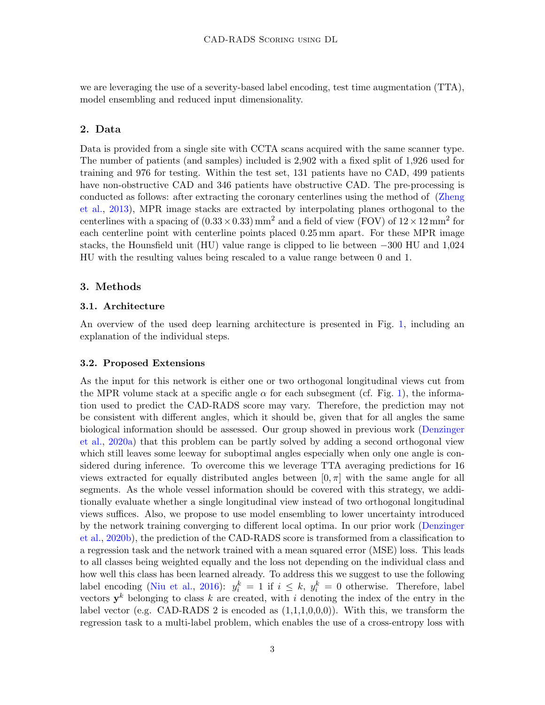we are leveraging the use of a severity-based label encoding, test time augmentation (TTA), model ensembling and reduced input dimensionality.

# 2. Data

Data is provided from a single site with CCTA scans acquired with the same scanner type. The number of patients (and samples) included is 2,902 with a fixed split of 1,926 used for training and 976 for testing. Within the test set, 131 patients have no CAD, 499 patients have non-obstructive CAD and 346 patients have obstructive CAD. The pre-processing is conducted as follows: after extracting the coronary centerlines using the method of [\(Zheng](#page-9-6) [et al.,](#page-9-6) [2013\)](#page-9-6), MPR image stacks are extracted by interpolating planes orthogonal to the centerlines with a spacing of  $(0.33 \times 0.33)$  mm<sup>2</sup> and a field of view (FOV) of  $12 \times 12$  mm<sup>2</sup> for each centerline point with centerline points placed 0.25 mm apart. For these MPR image stacks, the Hounsfield unit (HU) value range is clipped to lie between −300 HU and 1,024 HU with the resulting values being rescaled to a value range between 0 and 1.

# 3. Methods

## 3.1. Architecture

An overview of the used deep learning architecture is presented in Fig. [1,](#page-3-0) including an explanation of the individual steps.

#### <span id="page-2-0"></span>3.2. Proposed Extensions

As the input for this network is either one or two orthogonal longitudinal views cut from the MPR volume stack at a specific angle  $\alpha$  for each subsegment (cf. Fig. [1\)](#page-3-0), the information used to predict the CAD-RADS score may vary. Therefore, the prediction may not be consistent with different angles, which it should be, given that for all angles the same biological information should be assessed. Our group showed in previous work [\(Denzinger](#page-8-10) [et al.,](#page-8-10) [2020a\)](#page-8-10) that this problem can be partly solved by adding a second orthogonal view which still leaves some leeway for suboptimal angles especially when only one angle is considered during inference. To overcome this we leverage TTA averaging predictions for 16 views extracted for equally distributed angles between  $[0, \pi]$  with the same angle for all segments. As the whole vessel information should be covered with this strategy, we additionally evaluate whether a single longitudinal view instead of two orthogonal longitudinal views suffices. Also, we propose to use model ensembling to lower uncertainty introduced by the network training converging to different local optima. In our prior work [\(Denzinger](#page-8-9) [et al.,](#page-8-9) [2020b\)](#page-8-9), the prediction of the CAD-RADS score is transformed from a classification to a regression task and the network trained with a mean squared error (MSE) loss. This leads to all classes being weighted equally and the loss not depending on the individual class and how well this class has been learned already. To address this we suggest to use the following label encoding [\(Niu et al.,](#page-9-7) [2016\)](#page-9-7):  $y_i^k = 1$  if  $i \leq k$ ,  $y_i^k = 0$  otherwise. Therefore, label vectors  $y^k$  belonging to class k are created, with i denoting the index of the entry in the label vector (e.g. CAD-RADS 2 is encoded as  $(1,1,1,0,0,0)$ ). With this, we transform the regression task to a multi-label problem, which enables the use of a cross-entropy loss with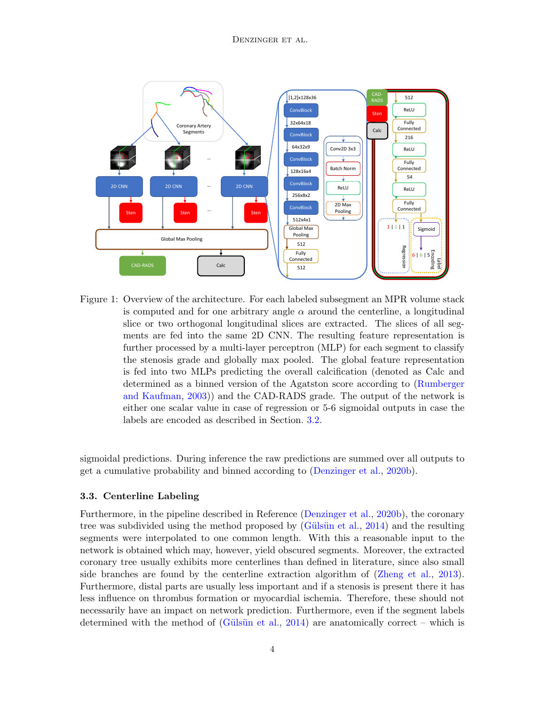

<span id="page-3-0"></span>Figure 1: Overview of the architecture. For each labeled subsegment an MPR volume stack is computed and for one arbitrary angle  $\alpha$  around the centerline, a longitudinal slice or two orthogonal longitudinal slices are extracted. The slices of all segments are fed into the same 2D CNN. The resulting feature representation is further processed by a multi-layer perceptron (MLP) for each segment to classify the stenosis grade and globally max pooled. The global feature representation is fed into two MLPs predicting the overall calcification (denoted as Calc and determined as a binned version of the Agatston score according to [\(Rumberger](#page-9-8) [and Kaufman,](#page-9-8) [2003\)](#page-9-8)) and the CAD-RADS grade. The output of the network is either one scalar value in case of regression or 5-6 sigmoidal outputs in case the labels are encoded as described in Section. [3.2.](#page-2-0)

sigmoidal predictions. During inference the raw predictions are summed over all outputs to get a cumulative probability and binned according to [\(Denzinger et al.,](#page-8-9) [2020b\)](#page-8-9).

#### 3.3. Centerline Labeling

Furthermore, in the pipeline described in Reference [\(Denzinger et al.,](#page-8-9) [2020b\)](#page-8-9), the coronary tree was subdivided using the method proposed by (Gülsün et al., [2014\)](#page-8-11) and the resulting segments were interpolated to one common length. With this a reasonable input to the network is obtained which may, however, yield obscured segments. Moreover, the extracted coronary tree usually exhibits more centerlines than defined in literature, since also small side branches are found by the centerline extraction algorithm of [\(Zheng et al.,](#page-9-6) [2013\)](#page-9-6). Furthermore, distal parts are usually less important and if a stenosis is present there it has less influence on thrombus formation or myocardial ischemia. Therefore, these should not necessarily have an impact on network prediction. Furthermore, even if the segment labels determined with the method of (Gülsün et al., [2014\)](#page-8-11) are anatomically correct – which is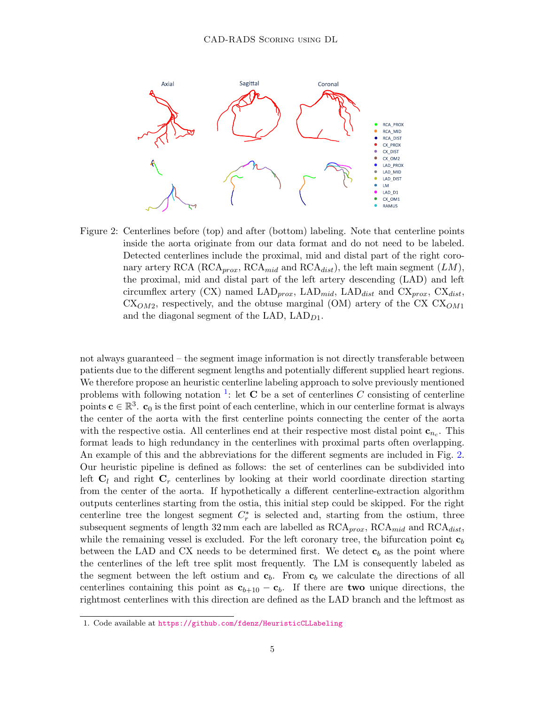

<span id="page-4-1"></span>Figure 2: Centerlines before (top) and after (bottom) labeling. Note that centerline points inside the aorta originate from our data format and do not need to be labeled. Detected centerlines include the proximal, mid and distal part of the right coronary artery RCA (RCA<sub>prox</sub>, RCA<sub>mid</sub> and RCA<sub>dist</sub>), the left main segment (LM), the proximal, mid and distal part of the left artery descending (LAD) and left circumflex artery (CX) named  $\text{LAD}_{prox}$ ,  $\text{LAD}_{mid}$ ,  $\text{LAD}_{dist}$  and  $\text{CX}_{prox}$ ,  $\text{CX}_{dist}$ ,  $CX<sub>OM2</sub>$ , respectively, and the obtuse marginal (OM) artery of the CX  $CX<sub>OM1</sub>$ and the diagonal segment of the LAD,  $\text{LAD}_{D1}$ .

not always guaranteed – the segment image information is not directly transferable between patients due to the different segment lengths and potentially different supplied heart regions. We therefore propose an heuristic centerline labeling approach to solve previously mentioned problems with following notation <sup>[1](#page-4-0)</sup>: let **C** be a set of centerlines C consisting of centerline points  $\mathbf{c} \in \mathbb{R}^3$ .  $\mathbf{c}_0$  is the first point of each centerline, which in our centerline format is always the center of the aorta with the first centerline points connecting the center of the aorta with the respective ostia. All centerlines end at their respective most distal point  $\mathbf{c}_{n_c}$ . This format leads to high redundancy in the centerlines with proximal parts often overlapping. An example of this and the abbreviations for the different segments are included in Fig. [2.](#page-4-1) Our heuristic pipeline is defined as follows: the set of centerlines can be subdivided into left  $C_l$  and right  $C_r$  centerlines by looking at their world coordinate direction starting from the center of the aorta. If hypothetically a different centerline-extraction algorithm outputs centerlines starting from the ostia, this initial step could be skipped. For the right centerline tree the longest segment  $C_r^*$  is selected and, starting from the ostium, three subsequent segments of length 32 mm each are labelled as  $RCA_{prox}$ ,  $RCA_{mid}$  and  $RCA_{dist}$ , while the remaining vessel is excluded. For the left coronary tree, the bifurcation point  $c<sub>b</sub>$ between the LAD and CX needs to be determined first. We detect  $c<sub>b</sub>$  as the point where the centerlines of the left tree split most frequently. The LM is consequently labeled as the segment between the left ostium and  $c_b$ . From  $c_b$  we calculate the directions of all centerlines containing this point as  $c_{b+10} - c_b$ . If there are two unique directions, the rightmost centerlines with this direction are defined as the LAD branch and the leftmost as

<span id="page-4-0"></span><sup>1.</sup> Code available at <https://github.com/fdenz/HeuristicCLLabeling>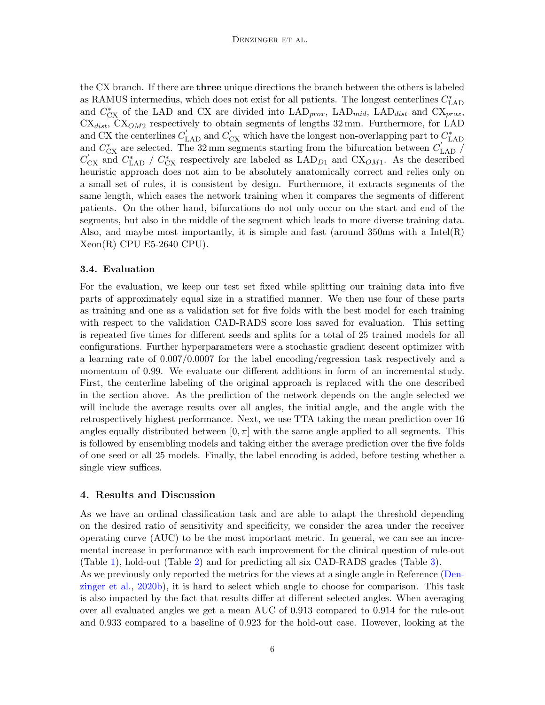the CX branch. If there are three unique directions the branch between the others is labeled as RAMUS intermedius, which does not exist for all patients. The longest centerlines  $C_{\rm{LAD}}^{*}$ and  $C_{CX}^*$  of the LAD and CX are divided into  $\text{LAD}_{prox}$ ,  $\text{LAD}_{mid}$ ,  $\text{LAD}_{dist}$  and  $\text{CX}_{prox}$ ,  $CX<sub>dist</sub>$ ,  $CX<sub>OM2</sub>$  respectively to obtain segments of lengths 32 mm. Furthermore, for LAD and CX the centerlines  $C'_{LAD}$  and  $C'_{CX}$  which have the longest non-overlapping part to  $C'_{LAD}$ and  $C_{\text{CX}}^*$  are selected. The 32 mm segments starting from the bifurcation between  $C_{\text{LAD}}'$  $C_{\text{CX}}'$  and  $C_{\text{LAD}}^*$  /  $C_{\text{CX}}^*$  respectively are labeled as  $\text{LAD}_{D1}$  and  $\text{CX}_{OM1}$ . As the described heuristic approach does not aim to be absolutely anatomically correct and relies only on a small set of rules, it is consistent by design. Furthermore, it extracts segments of the same length, which eases the network training when it compares the segments of different patients. On the other hand, bifurcations do not only occur on the start and end of the segments, but also in the middle of the segment which leads to more diverse training data. Also, and maybe most importantly, it is simple and fast (around 350ms with a Intel(R) Xeon(R) CPU E5-2640 CPU).

#### 3.4. Evaluation

For the evaluation, we keep our test set fixed while splitting our training data into five parts of approximately equal size in a stratified manner. We then use four of these parts as training and one as a validation set for five folds with the best model for each training with respect to the validation CAD-RADS score loss saved for evaluation. This setting is repeated five times for different seeds and splits for a total of 25 trained models for all configurations. Further hyperparameters were a stochastic gradient descent optimizer with a learning rate of 0.007/0.0007 for the label encoding/regression task respectively and a momentum of 0.99. We evaluate our different additions in form of an incremental study. First, the centerline labeling of the original approach is replaced with the one described in the section above. As the prediction of the network depends on the angle selected we will include the average results over all angles, the initial angle, and the angle with the retrospectively highest performance. Next, we use TTA taking the mean prediction over 16 angles equally distributed between  $[0, \pi]$  with the same angle applied to all segments. This is followed by ensembling models and taking either the average prediction over the five folds of one seed or all 25 models. Finally, the label encoding is added, before testing whether a single view suffices.

#### 4. Results and Discussion

As we have an ordinal classification task and are able to adapt the threshold depending on the desired ratio of sensitivity and specificity, we consider the area under the receiver operating curve (AUC) to be the most important metric. In general, we can see an incremental increase in performance with each improvement for the clinical question of rule-out (Table [1\)](#page-6-0), hold-out (Table [2\)](#page-6-1) and for predicting all six CAD-RADS grades (Table [3\)](#page-7-0). As we previously only reported the metrics for the views at a single angle in Reference [\(Den](#page-8-9)[zinger et al.,](#page-8-9) [2020b\)](#page-8-9), it is hard to select which angle to choose for comparison. This task is also impacted by the fact that results differ at different selected angles. When averaging over all evaluated angles we get a mean AUC of 0.913 compared to 0.914 for the rule-out and 0.933 compared to a baseline of 0.923 for the hold-out case. However, looking at the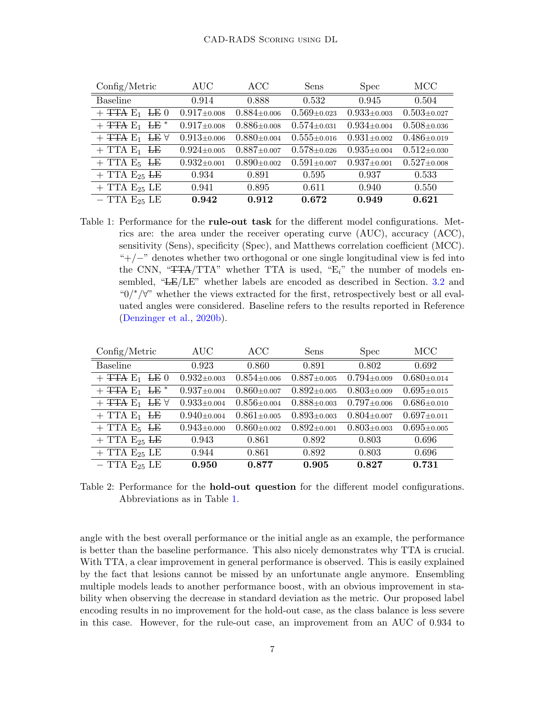| Config/Metric                                       | <b>AUC</b>        | ACC               | Sens              | <b>Spec</b>       | <b>MCC</b>        |
|-----------------------------------------------------|-------------------|-------------------|-------------------|-------------------|-------------------|
| <b>Baseline</b>                                     | 0.914             | 0.888             | 0.532             | 0.945             | 0.504             |
| $+$ <del>TTA</del> $E_1$ <del>LE</del> 0            | $0.917 \pm 0.008$ | $0.884 \pm 0.006$ | $0.569 \pm 0.023$ | $0.933 \pm 0.003$ | $0.503 \pm 0.027$ |
| $+$ <del>TTA</del> $E_1$ <del>LE</del> <sup>*</sup> | $0.917 \pm 0.008$ | $0.886 \pm 0.008$ | $0.574 \pm 0.031$ | $0.934 \pm 0.004$ | $0.508 \pm 0.036$ |
| $+$ <del>TTA</del> $E_1$ <b>LE</b> $\forall$        | $0.913 \pm 0.006$ | $0.880 \pm 0.004$ | $0.555 \pm 0.016$ | $0.931 \pm 0.002$ | $0.486 \pm 0.019$ |
| $+$ TTA $E_1$ <del>LE</del>                         | $0.924 \pm 0.005$ | $0.887 \pm 0.007$ | $0.578 \pm 0.026$ | $0.935 \pm 0.004$ | $0.512 \pm 0.030$ |
| $+$ TTA E <sub>5</sub> <del>LE</del>                | $0.932 \pm 0.001$ | $0.890 \pm 0.002$ | $0.591 \pm 0.007$ | $0.937 \pm 0.001$ | $0.527 \pm 0.008$ |
| $+$ TTA $E_{25}$ <del>LE</del>                      | 0.934             | 0.891             | 0.595             | 0.937             | 0.533             |
| $+$ TTA $E_{25}$ LE                                 | 0.941             | 0.895             | 0.611             | 0.940             | 0.550             |
| $-$ TTA $E_{25}$ LE                                 | 0.942             | 0.912             | 0.672             | 0.949             | 0.621             |

<span id="page-6-0"></span>Table 1: Performance for the **rule-out task** for the different model configurations. Metrics are: the area under the receiver operating curve (AUC), accuracy (ACC), sensitivity (Sens), specificity (Spec), and Matthews correlation coefficient (MCC). "+/−" denotes whether two orthogonal or one single longitudinal view is fed into the CNN, " $TTA/TTA$ " whether TTA is used, " $E_i$ " the number of models ensembled, "LE/LE" whether labels are encoded as described in Section. [3.2](#page-2-0) and "0/∗/∀" whether the views extracted for the first, retrospectively best or all evaluated angles were considered. Baseline refers to the results reported in Reference [\(Denzinger et al.,](#page-8-9) [2020b\)](#page-8-9).

| $\text{Config/Metric}$                       | $\rm AUC$         | ACC               | Sens              | <b>Spec</b>       | MCC               |
|----------------------------------------------|-------------------|-------------------|-------------------|-------------------|-------------------|
| Baseline                                     | 0.923             | 0.860             | 0.891             | 0.802             | 0.692             |
| $+$ <del>TTA</del> $E_1$ <del>LE</del> 0     | $0.932 \pm 0.003$ | $0.854 \pm 0.006$ | $0.887 \pm 0.005$ | $0.794 \pm 0.009$ | $0.680 \pm 0.014$ |
| $+$ TTA E <sub>1</sub> LE <sup>*</sup>       | $0.937 \pm 0.004$ | $0.860 \pm 0.007$ | $0.892 \pm 0.005$ | $0.803 \pm 0.009$ | $0.695 \pm 0.015$ |
| $+$ <del>TTA</del> $E_1$ <b>LE</b> $\forall$ | $0.933 \pm 0.004$ | $0.856 \pm 0.004$ | $0.888 \pm 0.003$ | $0.797 \pm 0.006$ | $0.686 \pm 0.010$ |
| $+$ TTA $E_1$ <del>LE</del>                  | $0.940 \pm 0.004$ | $0.861 \pm 0.005$ | $0.893 \pm 0.003$ | $0.804 \pm 0.007$ | $0.697 \pm 0.011$ |
| $+$ TTA E <sub>5</sub> <del>LE</del>         | $0.943 \pm 0.000$ | $0.860 \pm 0.002$ | $0.892 \pm 0.001$ | $0.803 \pm 0.003$ | $0.695 \pm 0.005$ |
| $+$ TTA $E_{25}$ <del>LE</del>               | 0.943             | 0.861             | 0.892             | 0.803             | 0.696             |
| $+$ TTA $E_{25}$ LE                          | 0.944             | 0.861             | 0.892             | 0.803             | 0.696             |
| $-$ TTA $E_{25}$ LE                          | 0.950             | 0.877             | 0.905             | 0.827             | 0.731             |

<span id="page-6-1"></span>Table 2: Performance for the **hold-out question** for the different model configurations. Abbreviations as in Table [1.](#page-6-0)

angle with the best overall performance or the initial angle as an example, the performance is better than the baseline performance. This also nicely demonstrates why TTA is crucial. With TTA, a clear improvement in general performance is observed. This is easily explained by the fact that lesions cannot be missed by an unfortunate angle anymore. Ensembling multiple models leads to another performance boost, with an obvious improvement in stability when observing the decrease in standard deviation as the metric. Our proposed label encoding results in no improvement for the hold-out case, as the class balance is less severe in this case. However, for the rule-out case, an improvement from an AUC of 0.934 to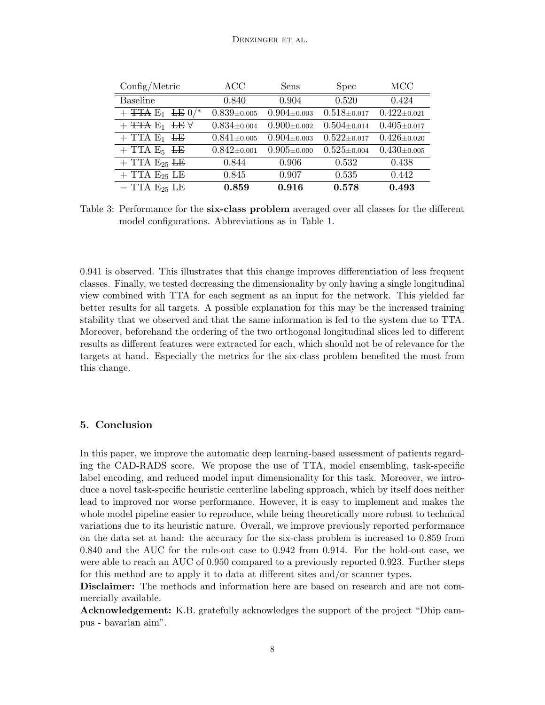| Config/Metric                                           | ACC               | Sens              | <b>Spec</b>       | MCC               |
|---------------------------------------------------------|-------------------|-------------------|-------------------|-------------------|
| <b>Baseline</b>                                         | 0.840             | 0.904             | 0.520             | 0.424             |
| $+$ <del>TTA</del> $E_1$ <del>LE</del> $0$ <sup>*</sup> | $0.839 \pm 0.005$ | $0.904 \pm 0.003$ | $0.518 \pm 0.017$ | $0.422 \pm 0.021$ |
| $+$ TTA $E_1$ LE $\forall$                              | $0.834 \pm 0.004$ | $0.900 \pm 0.002$ | $0.504 \pm 0.014$ | $0.405 \pm 0.017$ |
| $+$ TTA $E_1$ <del>LE</del>                             | $0.841 \pm 0.005$ | $0.904 \pm 0.003$ | $0.522 \pm 0.017$ | $0.426 \pm 0.020$ |
| $+$ TTA E <sub>5</sub> <del>LE</del>                    | $0.842 \pm 0.001$ | $0.905 \pm 0.000$ | $0.525 \pm 0.004$ | $0.430 \pm 0.005$ |
| $+$ TTA $E_{25}$ <del>LE</del>                          | 0.844             | 0.906             | 0.532             | 0.438             |
| $+$ TTA $E_{25}$ LE                                     | 0.845             | 0.907             | 0.535             | 0.442             |
| $-$ TTA $E_{25}$ LE                                     | 0.859             | 0.916             | 0.578             | 0.493             |

<span id="page-7-0"></span>Table 3: Performance for the six-class problem averaged over all classes for the different model configurations. Abbreviations as in Table [1.](#page-6-0)

0.941 is observed. This illustrates that this change improves differentiation of less frequent classes. Finally, we tested decreasing the dimensionality by only having a single longitudinal view combined with TTA for each segment as an input for the network. This yielded far better results for all targets. A possible explanation for this may be the increased training stability that we observed and that the same information is fed to the system due to TTA. Moreover, beforehand the ordering of the two orthogonal longitudinal slices led to different results as different features were extracted for each, which should not be of relevance for the targets at hand. Especially the metrics for the six-class problem benefited the most from this change.

## 5. Conclusion

In this paper, we improve the automatic deep learning-based assessment of patients regarding the CAD-RADS score. We propose the use of TTA, model ensembling, task-specific label encoding, and reduced model input dimensionality for this task. Moreover, we introduce a novel task-specific heuristic centerline labeling approach, which by itself does neither lead to improved nor worse performance. However, it is easy to implement and makes the whole model pipeline easier to reproduce, while being theoretically more robust to technical variations due to its heuristic nature. Overall, we improve previously reported performance on the data set at hand: the accuracy for the six-class problem is increased to 0.859 from 0.840 and the AUC for the rule-out case to 0.942 from 0.914. For the hold-out case, we were able to reach an AUC of 0.950 compared to a previously reported 0.923. Further steps for this method are to apply it to data at different sites and/or scanner types.

Disclaimer: The methods and information here are based on research and are not commercially available.

Acknowledgement: K.B. gratefully acknowledges the support of the project "Dhip campus - bavarian aim".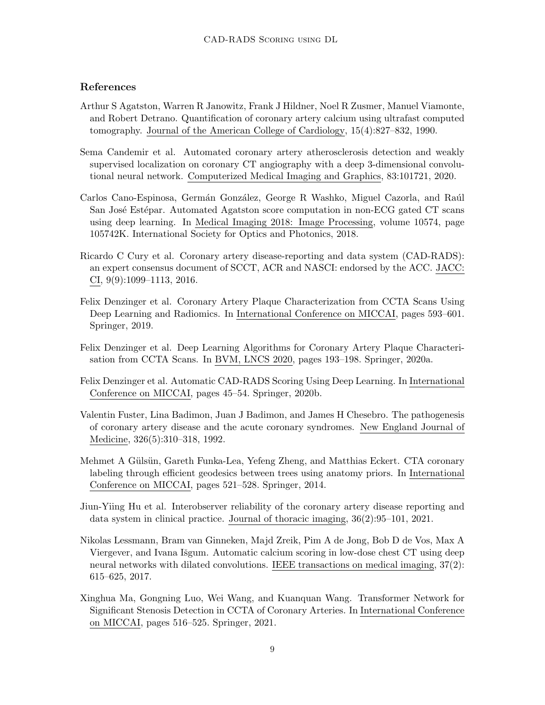# References

- <span id="page-8-6"></span>Arthur S Agatston, Warren R Janowitz, Frank J Hildner, Noel R Zusmer, Manuel Viamonte, and Robert Detrano. Quantification of coronary artery calcium using ultrafast computed tomography. Journal of the American College of Cardiology, 15(4):827–832, 1990.
- <span id="page-8-5"></span>Sema Candemir et al. Automated coronary artery atherosclerosis detection and weakly supervised localization on coronary CT angiography with a deep 3-dimensional convolutional neural network. Computerized Medical Imaging and Graphics, 83:101721, 2020.
- <span id="page-8-8"></span>Carlos Cano-Espinosa, Germán González, George R Washko, Miguel Cazorla, and Raúl San José Estépar. Automated Agatston score computation in non-ECG gated CT scans using deep learning. In Medical Imaging 2018: Image Processing, volume 10574, page 105742K. International Society for Optics and Photonics, 2018.
- <span id="page-8-1"></span>Ricardo C Cury et al. Coronary artery disease-reporting and data system (CAD-RADS): an expert consensus document of SCCT, ACR and NASCI: endorsed by the ACC. JACC: CI, 9(9):1099–1113, 2016.
- <span id="page-8-3"></span>Felix Denzinger et al. Coronary Artery Plaque Characterization from CCTA Scans Using Deep Learning and Radiomics. In International Conference on MICCAI, pages 593–601. Springer, 2019.
- <span id="page-8-10"></span>Felix Denzinger et al. Deep Learning Algorithms for Coronary Artery Plaque Characterisation from CCTA Scans. In BVM, LNCS 2020, pages 193–198. Springer, 2020a.
- <span id="page-8-9"></span>Felix Denzinger et al. Automatic CAD-RADS Scoring Using Deep Learning. In International Conference on MICCAI, pages 45–54. Springer, 2020b.
- <span id="page-8-0"></span>Valentin Fuster, Lina Badimon, Juan J Badimon, and James H Chesebro. The pathogenesis of coronary artery disease and the acute coronary syndromes. New England Journal of Medicine, 326(5):310–318, 1992.
- <span id="page-8-11"></span>Mehmet A Gülsün, Gareth Funka-Lea, Yefeng Zheng, and Matthias Eckert. CTA coronary labeling through efficient geodesics between trees using anatomy priors. In International Conference on MICCAI, pages 521–528. Springer, 2014.
- <span id="page-8-2"></span>Jiun-Yiing Hu et al. Interobserver reliability of the coronary artery disease reporting and data system in clinical practice. Journal of thoracic imaging, 36(2):95–101, 2021.
- <span id="page-8-7"></span>Nikolas Lessmann, Bram van Ginneken, Majd Zreik, Pim A de Jong, Bob D de Vos, Max A Viergever, and Ivana Išgum. Automatic calcium scoring in low-dose chest CT using deep neural networks with dilated convolutions. IEEE transactions on medical imaging, 37(2): 615–625, 2017.
- <span id="page-8-4"></span>Xinghua Ma, Gongning Luo, Wei Wang, and Kuanquan Wang. Transformer Network for Significant Stenosis Detection in CCTA of Coronary Arteries. In International Conference on MICCAI, pages 516–525. Springer, 2021.